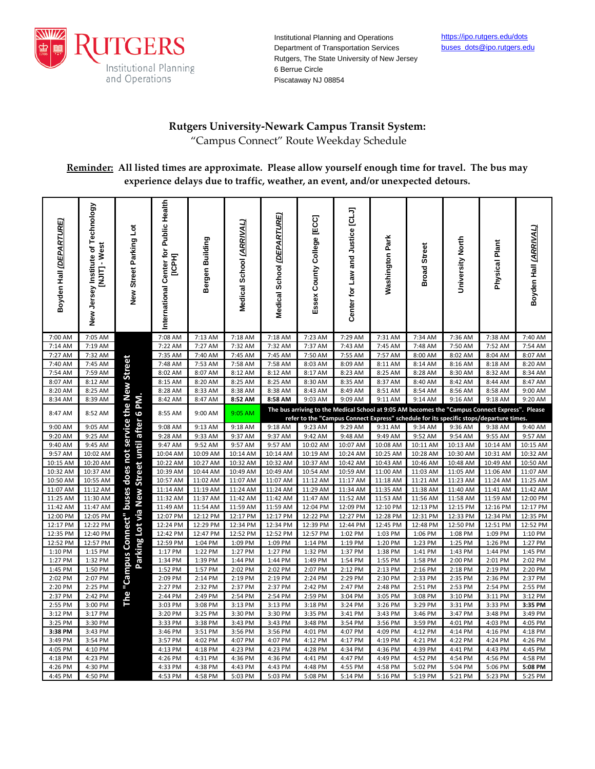

Institutional Planning and Operations Department of Transportation Services Rutgers, The State University of New Jersey 6 Berrue Circle Piscataway NJ 08854

## **Rutgers University-Newark Campus Transit System:**

"Campus Connect" Route Weekday Schedule

**Reminder: All listed times are approximate. Please allow yourself enough time for travel. The bus may experience delays due to traffic, weather, an event, and/or unexpected detours.**

| Boyden Hall <i>(DEPARTURE)</i> | New Jersey Institute of Technology<br>NJITJ - West | New Street Parking Lot                               | International Center for Public Health<br><b>ПСРНЈ</b> | Bergen Building    | Medical School (ARRIVAL) | Medical School (DEPARTURE)                                                                                                                                                               | Essex County College [ECC] | Center for Law and Justice [CLJ] | <b>Washington Park</b> | <b>Broad Street</b> | University North   | Physical Plant     | Boyden Hall <i>(ARRIVAL)</i> |
|--------------------------------|----------------------------------------------------|------------------------------------------------------|--------------------------------------------------------|--------------------|--------------------------|------------------------------------------------------------------------------------------------------------------------------------------------------------------------------------------|----------------------------|----------------------------------|------------------------|---------------------|--------------------|--------------------|------------------------------|
| 7:00 AM                        | 7:05 AM                                            |                                                      | 7:08 AM                                                | 7:13 AM            | 7:18 AM                  | 7:18 AM                                                                                                                                                                                  | 7:23 AM                    | 7:29 AM                          | 7:31 AM                | 7:34 AM             | 7:36 AM            | 7:38 AM            | 7:40 AM                      |
| 7:14 AM                        | 7:19 AM                                            |                                                      | 7:22 AM                                                | 7:27 AM            | 7:32 AM                  | 7:32 AM                                                                                                                                                                                  | 7:37 AM                    | 7:43 AM                          | 7:45 AM                | 7:48 AM             | 7:50 AM            | 7:52 AM            | 7:54 AM                      |
| 7:27 AM                        | 7:32 AM                                            |                                                      | 7:35 AM                                                | 7:40 AM            | 7:45 AM                  | 7:45 AM                                                                                                                                                                                  | 7:50 AM                    | 7:55 AM                          | 7:57 AM                | 8:00 AM             | 8:02 AM            | 8:04 AM            | 8:07 AM                      |
| 7:40 AM                        | 7:45 AM                                            |                                                      | 7:48 AM                                                | 7:53 AM            | 7:58 AM                  | 7:58 AM                                                                                                                                                                                  | 8:03 AM                    | 8:09 AM                          | 8:11 AM                | 8:14 AM             | 8:16 AM            | 8:18 AM            | 8:20 AM                      |
| 7:54 AM                        | 7:59 AM                                            |                                                      | 8:02 AM                                                | 8:07 AM            | 8:12 AM                  | 8:12 AM                                                                                                                                                                                  | 8:17 AM                    | 8:23 AM                          | 8:25 AM                | 8:28 AM             | 8:30 AM            | 8:32 AM            | 8:34 AM                      |
| 8:07 AM                        | 8:12 AM                                            |                                                      | 8:15 AM                                                | 8:20 AM            | 8:25 AM                  | 8:25 AM                                                                                                                                                                                  | 8:30 AM                    | 8:35 AM                          | 8:37 AM                | 8:40 AM             | 8:42 AM            | 8:44 AM            | 8:47 AM                      |
| 8:20 AM                        | 8:25 AM                                            |                                                      | 8:28 AM                                                | 8:33 AM            | 8:38 AM                  | 8:38 AM                                                                                                                                                                                  | 8:43 AM                    | 8:49 AM                          | 8:51 AM                | 8:54 AM             | 8:56 AM            | 8:58 AM            | 9:00 AM                      |
| 8:34 AM                        | 8:39 AM                                            |                                                      | 8:42 AM                                                | 8:47 AM            | 8:52 AM                  | 8:58 AM                                                                                                                                                                                  | 9:03 AM                    | 9:09 AM                          | 9:11 AM                | 9:14 AM             | 9:16 AM            | 9:18 AM            | 9:20 AM                      |
| 8:47 AM                        | 8:52 AM                                            | buses does not service the New Street<br>after 6 PM. | 8:55 AM                                                | 9:00 AM            | 9:05 AM                  | The bus arriving to the Medical School at 9:05 AM becomes the "Campus Connect Express". Please<br>refer to the "Campus Connect Express" schedule for its specific stops/departure times. |                            |                                  |                        |                     |                    |                    |                              |
| 9:00 AM                        | 9:05 AM                                            |                                                      | 9:08 AM                                                | 9:13 AM            | 9:18 AM                  | 9:18 AM                                                                                                                                                                                  | 9:23 AM                    | 9:29 AM                          | 9:31 AM                | 9:34 AM             | 9:36 AM            | 9:38 AM            | 9:40 AM                      |
| 9:20 AM                        | 9:25 AM                                            |                                                      | 9:28 AM                                                | 9:33 AM            | 9:37 AM                  | 9:37 AM                                                                                                                                                                                  | 9:42 AM                    | 9:48 AM                          | 9:49 AM                | 9:52 AM             | 9:54 AM            | 9:55 AM            | 9:57 AM                      |
| 9:40 AM                        | 9:45 AM                                            |                                                      | 9:47 AM                                                | 9:52 AM            | 9:57 AM                  | 9:57 AM                                                                                                                                                                                  | 10:02 AM                   | 10:07 AM                         | 10:08 AM               | 10:11 AM            | 10:13 AM           | 10:14 AM           | 10:15 AM                     |
| 9:57 AM                        | 10:02 AM                                           |                                                      | 10:04 AM                                               | 10:09 AM           | 10:14 AM                 | 10:14 AM                                                                                                                                                                                 | 10:19 AM                   | 10:24 AM                         | 10:25 AM               | 10:28 AM            | 10:30 AM           | 10:31 AM           | 10:32 AM                     |
| 10:15 AM                       | 10:20 AM                                           |                                                      | 10:22 AM                                               | 10:27 AM           | 10:32 AM                 | 10:32 AM                                                                                                                                                                                 | 10:37 AM                   | 10:42 AM                         | 10:43 AM               | 10:46 AM            | 10:48 AM           | 10:49 AM           | 10:50 AM                     |
| 10:32 AM                       | 10:37 AM                                           |                                                      | 10:39 AM                                               | 10:44 AM           | 10:49 AM                 | 10:49 AM                                                                                                                                                                                 | 10:54 AM                   | 10:59 AM                         | 11:00 AM               | 11:03 AM            | 11:05 AM           | 11:06 AM           | 11:07 AM                     |
| 10:50 AM                       | 10:55 AM                                           |                                                      | 10:57 AM                                               | 11:02 AM           | 11:07 AM                 | 11:07 AM                                                                                                                                                                                 | 11:12 AM                   | 11:17 AM                         | 11:18 AM               | 11:21 AM            | 11:23 AM           | 11:24 AM           | 11:25 AM                     |
| 11:07 AM                       | 11:12 AM                                           |                                                      | 11:14 AM                                               | 11:19 AM           | 11:24 AM                 | 11:24 AM                                                                                                                                                                                 | 11:29 AM                   | 11:34 AM                         | 11:35 AM               | 11:38 AM            | 11:40 AM           | 11:41 AM           | 11:42 AM                     |
| 11:25 AM                       | 11:30 AM                                           |                                                      | 11:32 AM                                               | 11:37 AM           | 11:42 AM                 | 11:42 AM                                                                                                                                                                                 | 11:47 AM                   | 11:52 AM                         | 11:53 AM               | 11:56 AM            | 11:58 AM           | 11:59 AM           | 12:00 PM                     |
| 11:42 AM                       | 11:47 AM                                           |                                                      | 11:49 AM                                               | 11:54 AM           | 11:59 AM                 | 11:59 AM                                                                                                                                                                                 | 12:04 PM                   | 12:09 PM                         | 12:10 PM               | 12:13 PM            | 12:15 PM           | 12:16 PM           | 12:17 PM                     |
| 12:00 PM                       | 12:05 PM                                           |                                                      | 12:07 PM                                               | 12:12 PM           | 12:17 PM                 | 12:17 PM                                                                                                                                                                                 | 12:22 PM                   | 12:27 PM                         | 12:28 PM               | 12:31 PM            | 12:33 PM           | 12:34 PM           | 12:35 PM                     |
| 12:17 PM                       | 12:22 PM                                           |                                                      | 12:24 PM                                               | 12:29 PM           | 12:34 PM                 | 12:34 PM                                                                                                                                                                                 | 12:39 PM                   | 12:44 PM                         | 12:45 PM               | 12:48 PM            | 12:50 PM           | 12:51 PM           | 12:52 PM                     |
| 12:35 PM                       | 12:40 PM                                           |                                                      | 12:42 PM                                               | 12:47 PM           | 12:52 PM                 | 12:52 PM                                                                                                                                                                                 | 12:57 PM                   | 1:02 PM                          | 1:03 PM                | 1:06 PM             | 1:08 PM            | 1:09 PM            | 1:10 PM                      |
| 12:52 PM                       | 12:57 PM                                           |                                                      | 12:59 PM                                               | 1:04 PM            | 1:09 PM                  | 1:09 PM                                                                                                                                                                                  | 1:14 PM                    | 1:19 PM                          | 1:20 PM                | 1:23 PM             | 1:25 PM            | 1:26 PM            | 1:27 PM                      |
| 1:10 PM                        | 1:15 PM                                            | Parking Lot via New Street until                     | 1:17 PM                                                | 1:22 PM            | 1:27 PM                  | 1:27 PM                                                                                                                                                                                  | 1:32 PM                    | 1:37 PM                          | 1:38 PM                | 1:41 PM             | 1:43 PM            | 1:44 PM            | 1:45 PM                      |
| 1:27 PM                        | 1:32 PM                                            |                                                      | 1:34 PM                                                | 1:39 PM            | 1:44 PM                  | 1:44 PM                                                                                                                                                                                  | 1:49 PM                    | 1:54 PM                          | 1:55 PM                | 1:58 PM             | 2:00 PM            | 2:01 PM            | 2:02 PM                      |
| 1:45 PM<br>2:02 PM             | 1:50 PM<br>2:07 PM                                 |                                                      | 1:52 PM<br>2:09 PM                                     | 1:57 PM<br>2:14 PM | 2:02 PM<br>2:19 PM       | 2:02 PM<br>2:19 PM                                                                                                                                                                       | 2:07 PM<br>2:24 PM         | 2:12 PM<br>2:29 PM               | 2:13 PM<br>2:30 PM     | 2:16 PM<br>2:33 PM  | 2:18 PM<br>2:35 PM | 2:19 PM<br>2:36 PM | 2:20 PM<br>2:37 PM           |
| 2:20 PM                        | $2:25$ PM                                          | The "Campus Connect"                                 | 2:27 PM                                                | 2:32 PM            | 2:37 PM                  | 2:37 PM                                                                                                                                                                                  | 2:42 PM                    | 2:47 PM                          | 2:48 PM                | 2:51 PM             | 2:53 PM            | 2:54 PM            | 2:55 PM                      |
| 2:37 PM                        | 2:42 PM                                            |                                                      | 2:44 PM                                                | 2:49 PM            | 2:54 PM                  | 2:54 PM                                                                                                                                                                                  | 2:59 PM                    | 3:04 PM                          | 3:05 PM                | 3:08 PM             | 3:10 PM            | 3:11 PM            | 3:12 PM                      |
| 2:55 PM                        | 3:00 PM                                            |                                                      | 3:03 PM                                                | 3:08 PM            | 3:13 PM                  | 3:13 PM                                                                                                                                                                                  | 3:18 PM                    | 3:24 PM                          | 3:26 PM                | 3:29 PM             | 3:31 PM            | 3:33 PM            | 3:35 PM                      |
| 3:12 PM                        | 3:17 PM                                            |                                                      | 3:20 PM                                                | 3:25 PM            | 3:30 PM                  | 3:30 PM                                                                                                                                                                                  | 3:35 PM                    | 3:41 PM                          | 3:43 PM                | 3:46 PM             | 3:47 PM            | 3:48 PM            | 3:49 PM                      |
| 3:25 PM                        | 3:30 PM                                            |                                                      | 3:33 PM                                                | 3:38 PM            | 3:43 PM                  | 3:43 PM                                                                                                                                                                                  | 3:48 PM                    | 3:54 PM                          | 3:56 PM                | 3:59 PM             | 4:01 PM            | 4:03 PM            | 4:05 PM                      |
| 3:38 PM                        | 3:43 PM                                            |                                                      | 3:46 PM                                                | 3:51 PM            | 3:56 PM                  | 3:56 PM                                                                                                                                                                                  | 4:01 PM                    | 4:07 PM                          | 4:09 PM                | 4:12 PM             | 4:14 PM            | 4:16 PM            | 4:18 PM                      |
| 3:49 PM                        | 3:54 PM                                            |                                                      | 3:57 PM                                                | 4:02 PM            | 4:07 PM                  | 4:07 PM                                                                                                                                                                                  | 4:12 PM                    | 4:17 PM                          | 4:19 PM                | 4:21 PM             | 4:22 PM            | 4:24 PM            | 4:26 PM                      |
| 4:05 PM                        | 4:10 PM                                            |                                                      | 4:13 PM                                                | 4:18 PM            | 4:23 PM                  | 4:23 PM                                                                                                                                                                                  | 4:28 PM                    | 4:34 PM                          | 4:36 PM                | 4:39 PM             | 4:41 PM            | 4:43 PM            | 4:45 PM                      |
| 4:18 PM                        | 4:23 PM                                            |                                                      | 4:26 PM                                                | 4:31 PM            | 4:36 PM                  | 4:36 PM                                                                                                                                                                                  | 4:41 PM                    | 4:47 PM                          | 4:49 PM                | 4:52 PM             | 4:54 PM            | 4:56 PM            | 4:58 PM                      |
| 4:26 PM                        | 4:30 PM                                            |                                                      | 4:33 PM                                                | 4:38 PM            | 4:43 PM                  | 4:43 PM                                                                                                                                                                                  | 4:48 PM                    | 4:55 PM                          | 4:58 PM                | 5:02 PM             | 5:04 PM            | 5:06 PM            | 5:08 PM                      |
| 4:45 PM                        | 4:50 PM                                            |                                                      | 4:53 PM                                                | 4:58 PM            | 5:03 PM                  | 5:03 PM                                                                                                                                                                                  | 5:08 PM                    | 5:14 PM                          | 5:16 PM                | 5:19 PM             | 5:21 PM            | 5:23 PM            | 5:25 PM                      |